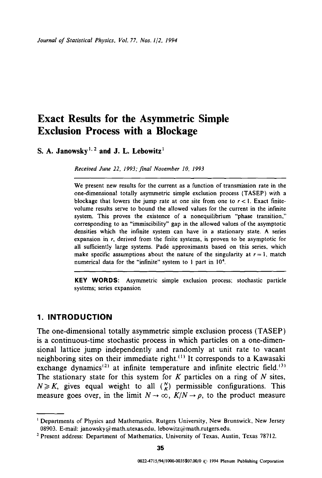# **Exact Results for the Asymmetric Simple Exclusion Process with a Blockage**

S. A. Janowsky<sup>1, 2</sup> and J. L. Lebowitz<sup>1</sup>

*Received June 22, 1993;final November 10, 1993* 

We present new results for the current as a function of transmission rate in the one-dimensional totally asymmetric simple exclusion process (TASEP) with a blockage that lowers the jump rate at one site from one to  $r < 1$ . Exact finitevolume results serve to bound the allowed values for the current in the infinite system. This proves the existence of a nonequilibrium "phase transition," corresponding to an "immiscibility" gap in the allowed values of the asymptotic densities which the infinite system can have in a stationary state. A series expansion in r, derived from the finite systems, is proven to be asymptotic for all sufficiently large systems. Padé approximants based on this series, which make specific assumptions about the nature of the singularity at  $r = 1$ , match numerical data for the "infinite" system to I part in 104.

**KEY WORDS:** Asymmetric simple exclusion process; stochastic particle systems; series expansion

## **1. INTRODUCTION**

The one-dimensional totally asymmetric simple exclusion process (TASEP) is a continuous-time stochastic process in which particles on a one-dimensional lattice jump independently and randomly at unit rate to vacant neighboring sites on their immediate right.<sup>(1)</sup> It corresponds to a Kawasaki exchange dynamics<sup>(2)</sup> at infinite temperature and infinite electric field.<sup>(3)</sup> The stationary state for this system for  $K$  particles on a ring of  $N$  sites,  $N \geq K$ , gives equal weight to all  $\binom{N}{K}$  permissible configurations. This measure goes over, in the limit  $N \to \infty$ ,  $K/N \to \rho$ , to the product measure

<sup>&#</sup>x27; Departments of Physics and Mathematics, Rutgers University, New Brunswick, New Jersey 08903. E-mail: janowsky@math.utexas.edu, lebowitz@math.rutgers.edu.

<sup>&</sup>lt;sup>2</sup> Present address: Department of Mathematics, University of Texas, Austin, Texas 78712.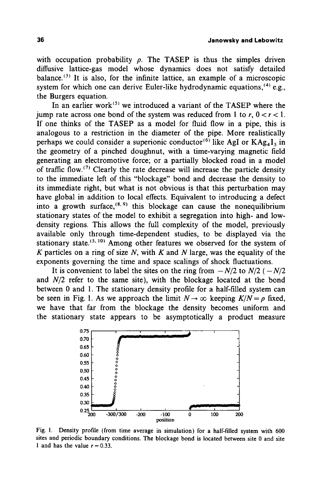with occupation probability  $\rho$ . The TASEP is thus the simples driven diffusive lattice-gas model whose dynamics does not satisfy detailed balance.<sup> $(3)$ </sup> It is also, for the infinite lattice, an example of a microscopic system for which one can derive Euler-like hydrodynamic equations.<sup>(4)</sup> e.g., the Burgers equation.

In an earlier work<sup> $(5)$ </sup> we introduced a variant of the TASEP where the jump rate across one bond of the system was reduced from 1 to r,  $0 < r < 1$ . If one thinks of the TASEP as a model for fluid flow in a pipe, this is analogous to a restriction in the diameter of the pipe. More realistically perhaps we could consider a superionic conductor<sup>(6)</sup> like AgI or  $KAg_4I_5$  in the geometry of a pinched doughnut, with a time-varying magnetic field generating an electromotive force; or a partially blocked road in a model of traffic flow.<sup> $(7)$ </sup> Clearly the rate decrease will increase the particle density to the immediate left of this "blockage" bond and decrease the density to its immediate right, but what is not obvious is that this perturbation may have global in addition to local effects. Equivalent to introducing a defect into a growth surface,  $(8, 9)$  this blockage can cause the nonequilibrium stationary states of the model to exhibit a segregation into high- and lowdensity regions. This allows the full complexity of the model, previously available only through time-dependent studies, to be displayed via the stationary state.<sup> $(5, 10)$ </sup> Among other features we observed for the system of K particles on a ring of size N, with K and N large, was the equality of the exponents governing the time and space scalings of shock fluctuations.

It is convenient to label the sites on the ring from  $-N/2$  to  $N/2$  ( $-N/2$ and *N/2* refer to the same site), with the blockage located at the bond between 0 and 1. The stationary density profile for a half-filled system can be seen in Fig. 1. As we approach the limit  $N \to \infty$  keeping  $K/N = \rho$  fixed, we have that far from the blockage the density becomes uniform and the stationary state appears to be asymptotically a product measure



Fig. I. Density profile (from time average in simulation) for a half-filled system with 600 sites and periodic boundary conditions. The blockage bond is located between site 0 and site 1 and has the value  $r = 0.33$ .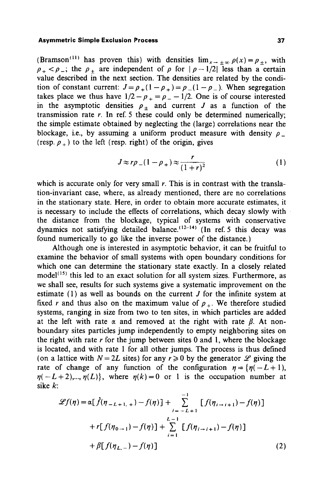(Bramson<sup>(11)</sup> has proven this) with densities  $\lim_{x \to \pm \infty} \rho(x) = \rho_{\pm}$ , with  $p_+ < p_+$ ; the  $p_+$  are independent of p for  $|p-1/2|$  less than a certain value described in the next section. The densities are related by the condition of constant current:  $J = \rho_+ (1 - \rho_+) = \rho_- (1 - \rho_-)$ . When segregation takes place we thus have  $1/2 - p_+ = p_- - 1/2$ . One is of course interested in the asymptotic densities  $\rho_{\pm}$  and current J as a function of the transmission rate  $r$ . In ref. 5 these could only be determined numerically; the simple estimate obtained by neglecting the (large) correlations near the blockage, i.e., by assuming a uniform product measure with density  $\rho$ (resp.  $\rho_+$ ) to the left (resp. right) of the origin, gives

$$
J \approx r\rho_{-}(1-\rho_{+}) \approx \frac{r}{(1+r)^{2}}
$$
 (1)

which is accurate only for very small  $r$ . This is in contrast with the translation-invariant case, where, as already mentioned, there are no correlations in the stationary state. Here, in order to obtain more accurate estimates, it is necessary to include the effects of correlations, which decay slowly with the distance from the blockage, typical of systems with conservative dynamics not satisfying detailed balance.<sup> $(12-14)$ </sup> (In ref. 5 this decay was found numerically to go like the inverse power of the distance.)

Although one is interested in asymptotic behavior, it can be fruitful to examine the behavior of small systems with open boundary conditions for which one can determine the stationary state exactly. In a closely related  $model<sup>(15)</sup>$  this led to an exact solution for all system sizes. Furthermore, as we shall see, results for such systems give a systematic improvement on the estimate  $(1)$  as well as bounds on the current  $J$  for the infinite system at fixed r and thus also on the maximum value of  $\rho_{\perp}$ . We therefore studied systems, ranging in size from two to ten sites, in which particles are added at the left with rate  $\alpha$  and removed at the right with rate  $\beta$ . At nonboundary sites particles jump independently to empty neighboring sites on the right with rate  $r$  for the jump between sites 0 and 1, where the blockage is located, and with rate 1 for all other jumps. The process is thus defined (on a lattice with  $N = 2L$  sites) for any  $r \ge 0$  by the generator  $\mathscr L$  giving the rate of change of any function of the configuration  $\eta = \{\eta(-L+1),\}$  $r(n-L+2)$ ,...,  $r(n)$ , where  $r(n) = 0$  or 1 is the occupation number at sike k:

$$
\mathcal{L}f(\eta) = \alpha[\dot{f}(\eta_{-L+1,+}) - f(\eta)] + \sum_{i=-L+1}^{-1} [f(\eta_{i-i+1}) - f(\eta)]
$$
  
+  $r[f(\eta_{0-1}) - f(\eta)] + \sum_{i=1}^{L-1} [f(\eta_{i-i+1}) - f(\eta)]$   
+  $\beta[f(\eta_{L,-}) - f(\eta)]$  (2)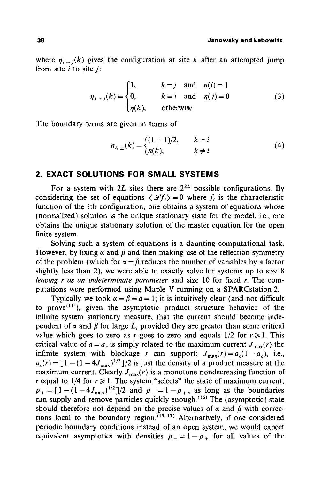where  $\eta_{i\rightarrow j}(k)$  gives the configuration at site k after an attempted jump from site  $i$  to site  $j$ :

$$
\eta_{i \to j}(k) = \begin{cases} 1, & k = j \text{ and } \eta(i) = 1 \\ 0, & k = i \text{ and } \eta(j) = 0 \\ \eta(k), & \text{otherwise} \end{cases}
$$
(3)

The boundary terms are given in terms of

$$
n_{i, \pm}(k) = \begin{cases} (1 \pm 1)/2, & k = i \\ n(k), & k \neq i \end{cases}
$$
 (4)

## **2. EXACT SOLUTIONS FOR SMALL SYSTEMS**

For a system with 2L sites there are  $2^{2L}$  possible configurations. By considering the set of equations  $\langle \mathcal{L} f_i \rangle = 0$  where f, is the characteristic function of the *i*th configuration, one obtains a system of equations whose (normalized) solution is the unique stationary state for the model, i.e., one obtains the unique stationary solution of the master equation for the open finite system.

Solving such a system of equations is a daunting computational task. However, by fixing  $\alpha$  and  $\beta$  and then making use of the reflection symmetry of the problem (which for  $\alpha = \beta$  reduces the number of variables by a factor slightly less than 2), we were able to exactly solve for systems up to size 8 *leaving r as an indeterminate parameter* and size l0 for fixed r. The computations were performed using Maple V running on a SPARCstation 2.

Typically we took  $\alpha = \beta = a = 1$ ; it is intuitively clear (and not difficult to prove<sup> $(11)$ </sup>), given the asymptotic product structure behavior of the infinite system stationary measure, that the current should become independent of  $\alpha$  and  $\beta$  for large L, provided they are greater than some critical value which goes to zero as r goes to zero and equals  $1/2$  for  $r \ge 1$ . This critical value of  $a = a_c$  is simply related to the maximum current  $J_{\text{max}}(r)$  the infinite system with blockage r can support;  $J_{\text{max}}(r) = a_c(1-a_c)$ , i.e.,  $a_r(r) = [1 - (1 - 4J_{\text{max}})^{1/2}]/2$  is just the density of a product measure at the maximum current. Clearly  $J_{\text{max}}(r)$  is a monotone nondecreasing function of r equal to  $1/4$  for  $r \ge 1$ . The system "selects" the state of maximum current,  $p_{+} = [1-(1-4J_{\text{max}})^{1/2}]/2$  and  $p_{-}=1-p_{+}$ , as long as the boundaries can supply and remove particles quickly enough.<sup>(16)</sup> The (asymptotic) state should therefore not depend on the precise values of  $\alpha$  and  $\beta$  with corrections local to the boundary region,  $(15, 17)$  Alternatively, if one considered periodic boundary conditions instead of an open system, we would expect equivalent asymptotics with densities  $p_{-} = 1 - p_{+}$  for all values of the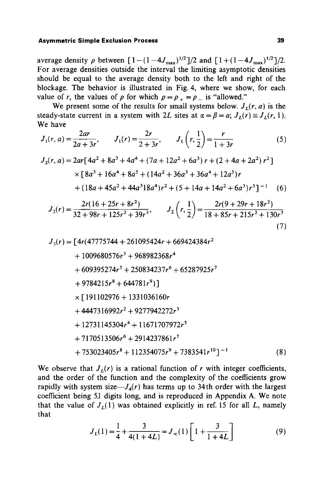average density  $\rho$  between  $[1-(1-4J_{\text{max}})^{1/2}]/2$  and  $[1+(1-4J_{\text{max}})^{1/2}]/2$ . For average densities outside the interval the limiting asymptotic densities should be equal to the average density both to the left and right of the blockage. The behavior is illustrated in Fig. 4, where we show, for each value of r, the values of  $\rho$  for which  $\rho = \rho_+ = \rho_-$  is "allowed."

We present some of the results for small systems below.  $J_r(r, a)$  is the steady-state current in a system with 2L sites at  $\alpha = \beta = a$ ;  $J_I(r) \equiv J_I(r, 1)$ . We have

$$
J_1(r, a) = \frac{2ar}{2a + 3r}, \qquad J_1(r) = \frac{2r}{2 + 3r}, \qquad J_1\left(r, \frac{1}{2}\right) = \frac{r}{1 + 3r} \tag{5}
$$

$$
J_2(r, a) = 2ar[4a^2 + 8a^3 + 4a^4 + (7a + 12a^2 + 6a^3) r + (2 + 4a + 2a^2) r^2]
$$
  
×[8a<sup>3</sup> + 16a<sup>4</sup> + 8a<sup>5</sup> + (14a<sup>2</sup> + 36a<sup>3</sup> + 36a<sup>4</sup> + 12a<sup>5</sup>)r  
+ (18a + 45a<sup>2</sup> + 44a<sup>3</sup>18a<sup>4</sup>)r<sup>2</sup> + (5 + 14a + 14a<sup>2</sup> + 6a<sup>3</sup>)r<sup>3</sup>]<sup>-1</sup> (6)

$$
J_2(r) = \frac{2r(16+25r+8r^2)}{32+98r+125r^2+39r^3}, \qquad J_2\left(r, \frac{1}{2}\right) = \frac{2r(9+29r+18r^2)}{18+85r+215r^2+130r^3}
$$
\n(7)

$$
J_{3}(r) = [4r(47775744 + 261095424r + 669424384r^{2}+ 1009680576r^{3} + 968982368r^{4}+ 609395274r^{5} + 250834237r^{6} + 65287925r^{7}+ 9784215r^{8} + 644781r^{9}]\n\times [191102976 + 1331036160r+ 4447316992r^{2} + 9277942272r^{3}+ 12731145304r^{4} + 11671707972r^{5}+ 7170513506r^{6} + 2914237861r^{7}+ 753023405r^{8} + 112354075r^{9} + 7383541r^{10}]^{-1}
$$
(8)

We observe that  $J_L(r)$  is a rational function of r with integer coefficients, and the order of the function and the complexity of the coefficients grow rapidly with system size— $J_4(r)$  has terms up to 34th order with the largest coefficient being 51 digits long, and is reproduced in Appendix A. We note that the value of  $J_r(1)$  was obtained explicitly in ref. 15 for all L, namely that

$$
J_L(1) = \frac{1}{4} + \frac{3}{4(1+4L)} = J_{\infty}(1) \left[ 1 + \frac{3}{1+4L} \right] \tag{9}
$$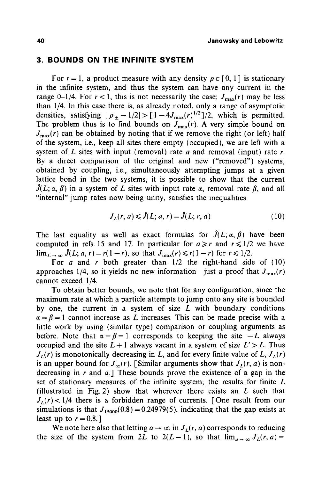### **3. BOUNDS ON THE INFINITE SYSTEM**

For  $r = 1$ , a product measure with any density  $\rho \in [0, 1]$  is stationary in the infinite system, and thus the system can have any current in the range 0-1/4. For  $r < 1$ , this is not necessarily the case;  $J_{\text{max}}(r)$  may be less than I/4. In this case there is, as already noted, only a range of asymptotic densities, satisfying  $|\rho_+ - 1/2| > \lceil 1 - 4J_{\text{max}}(r)^{1/2}\rceil/2$ , which is permitted. The problem thus is to find bounds on  $J_{\text{max}}(r)$ . A very simple bound on  $J_{\text{max}}(r)$  can be obtained by noting that if we remove the right (or left) half of the system, i.e., keep all sites there empty (occupied), we are left with a system of L sites with input (removal) rate a and removal (input) rate  $r$ . By a direct comparison of the original and new ("removed") systems, obtained by coupling, i.e., simultaneously attempting jumps at a given lattice bond in the two systems, it is possible to show that the current  $\hat{J}(L; \alpha, \beta)$  in a system of L sites with input rate  $\alpha$ , removal rate  $\beta$ , and all "internal" jump rates now being unity, satisfies the inequalities

$$
J_L(r, a) \leq \hat{J}(L; a, r) = \hat{J}(L; r, a)
$$
\n(10)

The last equality as well as exact formulas for  $\hat{J}(L; \alpha, \beta)$  have been computed in refs. 15 and 17. In particular for  $a \ge r$  and  $r \le 1/2$  we have  $\lim_{L \to \infty} \hat{J}(L; a, r) = r(1 - r)$ , so that  $J_{\text{max}}(r) \le r(1 - r)$  for  $r \le 1/2$ .

For a and r both greater than  $1/2$  the right-hand side of (10) approaches 1/4, so it yields no new information--just a proof that  $J_{\text{max}}(r)$ cannot exceed 1/4.

To obtain better bounds, we note that for any configuration, since the maximum rate at which a particle attempts to jump onto any site is bounded by one, the current in a system of size  $L$  with boundary conditions  $\alpha = \beta = 1$  cannot increase as L increases. This can be made precise with a little work by using (similar type) comparison or coupling arguments as before. Note that  $\alpha = \beta = 1$  corresponds to keeping the site  $-L$  always occupied and the site  $L + 1$  always vacant in a system of size  $L' > L$ . Thus  $J_{L}(r)$  is monotonically decreasing in *L*, and for every finite value of *L*,  $J_{L}(r)$ is an upper bound for  $J_{\infty}(r)$ . [Similar arguments show that  $J_{L}(r, a)$  is nondecreasing in r and  $a$ . These bounds prove the existence of a gap in the set of stationary measures of the infinite system; the results for finite L (illustrated in Fig. 2) show that wherever there exists an  $L$  such that  $J_L(r)$  < 1/4 there is a forbidden range of currents. [One result from our simulations is that  $J_{15000}(0.8) = 0.24979(5)$ , indicating that the gap exists at least up to  $r = 0.8$ .]

We note here also that letting  $a \to \infty$  in  $J_L(r, a)$  corresponds to reducing the size of the system from 2L to  $2(L-1)$ , so that  $\lim_{a\to\infty} J_L(r, a)$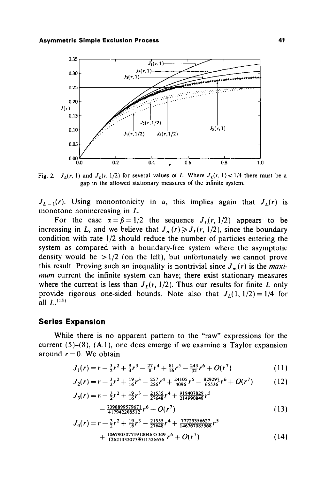

Fig. 2.  $J_L(r, 1)$  and  $J_L(r, 1/2)$  for several values of L. Where  $J_L(r, 1) < 1/4$  there must be a **gap in the allowed stationary measures of the infinite system.** 

 $J_{L-1}(r)$ . Using monontonicity in a, this implies again that  $J_{L}(r)$  is **monotone nonincreasing in L.** 

For the case  $\alpha = \beta = 1/2$  the sequence  $J_L(r, 1/2)$  appears to be increasing in L, and we believe that  $J_{\infty}(r) \ge J_L(r, 1/2)$ , since the boundary **condition with rate 1/2 should reduce the number of particles entering the system as compared with a boundary-free system where the asymptotic**  density would be  $>1/2$  (on the left), but unfortunately we cannot prove this result. Proving such an inequality is nontrivial since  $J_{\infty}(r)$  is the *maximum* **current the infinite system can have; there exist stationary measures**  where the current is less than  $J<sub>L</sub>(r, 1/2)$ . Thus our results for finite L only provide rigorous one-sided bounds. Note also that  $J_1(1, 1/2) = 1/4$  for all  $L^{(15)}$ 

#### **Series Expansion**

**While there is no apparent pattern to the "raw" expressions for the current (5)-(8), (A.1), one does emerge if we examine a Taylor expansion**  around  $r = 0$ . We obtain

$$
J_1(r) = r - \frac{3}{2}r^2 + \frac{9}{4}r^3 - \frac{27}{8}r^4 + \frac{81}{16}r^5 - \frac{243}{32}r^6 + O(r^7)
$$
 (11)

$$
J_2(r) = r - \frac{3}{2}r^2 + \frac{19}{16}r^3 - \frac{257}{256}r^4 + \frac{24105}{4096}r^5 - \frac{829297}{65536}r^6 + O(r^7)
$$
 (12)

$$
J_3(r) = r - \frac{3}{2}r^2 + \frac{19}{16}r^3 - \frac{21535}{27648}r^4 + \frac{919407829}{214990848}r^5 - \frac{7398899573671}{417942208512}r^6 + O(r^7)
$$
 (13)

$$
J_4(r) = r - \frac{3}{2}r^2 + \frac{19}{16}r^3 - \frac{21535}{27648}r^4 + \frac{77729356627}{146767085568}r^5 + \frac{1067903077191004635349}{126214320739011526656}r^6 + O(r^7)
$$
 (14)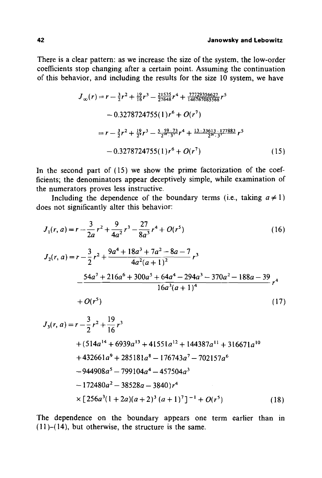There is a clear pattern: as we increase the size of the system, the low-order coefficients stop changing after a certain point. Assuming the continuation of this behavior, and including the results for the size 10 system, we have

$$
J_{\infty}(r) = r - \frac{3}{2}r^2 + \frac{19}{16}r^3 - \frac{21535}{27648}r^4 + \frac{77729356627}{146767085568}r^5
$$
  
- 0.3278724755(1)r<sup>6</sup> + O(r<sup>7</sup>)  
= r - \frac{3}{2}r^2 + \frac{19}{2}r^3 - \frac{5 \cdot 59 \cdot 73}{2^{16} \cdot 3}r^4 + \frac{13 \cdot 33613 \cdot 177883}{2^{18} \cdot 3}r^5  
- 0.3278724755(1)r<sup>6</sup> + O(r<sup>7</sup>) (15)

In the second part of (15) we show the prime factorization of the coefficients; the denominators appear deceptively simple, while examination of the numerators proves less instructive.

Including the dependence of the boundary terms (i.e., taking  $a \neq 1$ ) does not significantly alter this behavior:

$$
J_{1}(r, a) = r - \frac{3}{2a}r^{2} + \frac{9}{4a^{2}}r^{3} - \frac{27}{8a^{3}}r^{4} + O(r^{5})
$$
(16)  
\n
$$
J_{2}(r, a) = r - \frac{3}{2}r^{2} + \frac{9a^{4} + 18a^{3} + 7a^{2} - 8a - 7}{4a^{2}(a + 1)^{2}}r^{3}
$$
\n
$$
- \frac{54a^{7} + 216a^{6} + 300a^{5} + 64a^{4} - 294a^{3} - 370a^{2} - 188a - 39}{16a^{3}(a + 1)^{4}}r^{4}
$$
\n
$$
+ O(r^{5})
$$
(17)  
\n
$$
J_{3}(r, a) = r - \frac{3}{2}r^{2} + \frac{19}{16}r^{3}
$$
\n
$$
+ (514a^{14} + 6939a^{13} + 41551a^{12} + 144387a^{11} + 316671a^{10}
$$
\n
$$
+ 432661a^{9} + 285181a^{8} - 176743a^{7} - 702157a^{6}
$$
\n
$$
- 944908a^{5} - 799104a^{4} - 457504a^{3}
$$
\n
$$
- 172480a^{2} - 38528a - 3840)r^{4}
$$
\n
$$
\times [256a^{3}(1 + 2a)(a + 2)^{3}(a + 1)^{7}]^{-1} + O(r^{5})
$$
(18)

The dependence on the boundary appears one term earlier than in **(11** )-(14), but otherwise, the structure is the same.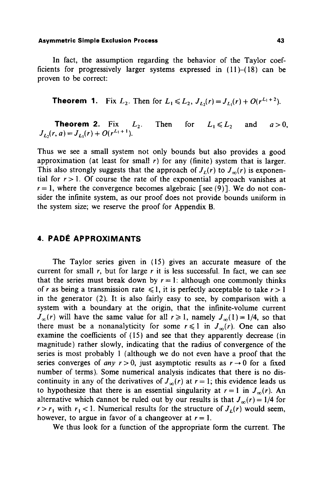In fact, the assumption regarding the behavior of the Taylor coefficients for progressively larger systems expressed in  $(11)–(18)$  can be proven to be correct:

**Theorem 1.** Fix  $L_2$ . Then for  $L_1 \le L_2$ ,  $J_{L_2}(r) = J_{L_1}(r) + O(r^{L_1+2})$ .

Then for  $L_1 \leqslant L_2$  and  $a > 0$ , **Theorem 2.** Fix  $L_2$ .<br> $J_L(r, a) = J_L(r) + O(r^{L_1+1}).$ 

Thus we see a small system not only bounds but also provides a good approximation (at least for small  $r$ ) for any (finite) system that is larger. This also strongly suggests that the approach of  $J_{\nu}(r)$  to  $J_{\infty}(r)$  is exponential for  $r > 1$ . Of course the rate of the exponential approach vanishes at  $r=1$ , where the convergence becomes algebraic [see (9)]. We do not consider the infinite system, as our proof does not provide bounds uniform in the system size; we reserve the proof for Appendix B.

## **4. PADÉ APPROXIMANTS**

The Taylor series given in (15) gives an accurate measure of the current for small r, but for large r it is less successful. In fact, we can see that the series must break down by  $r = 1$ : although one commonly thinks of r as being a transmission rate  $\leq 1$ , it is perfectly acceptable to take  $r > 1$ in the generator (2). It is also fairly easy to see, by comparison with a system with a boundary at the origin, that the infinite-volume current  $J_{\infty}(r)$  will have the same value for all  $r \ge 1$ , namely  $J_{\infty}(1) = 1/4$ , so that there must be a nonanalyticity for some  $r \leq 1$  in  $J_{\infty}(r)$ . One can also examine the coefficients of (15) and see that they apparently decrease (in magnitude) rather slowly, indicating that the radius of convergence of the series is most probably 1 (although we do not even have a proof that the series converges of *any*  $r > 0$ , just asymptotic results as  $r \rightarrow 0$  for a fixed number of terms). Some numerical analysis indicates that there is no discontinuity in any of the derivatives of  $J_{\infty}(r)$  at  $r = 1$ ; this evidence leads us to hypothesize that there is an essential singularity at  $r = 1$  in  $J_{\infty}(r)$ . An alternative which cannot be ruled out by our results is that  $J_{\infty}(r) = 1/4$  for  $r > r_1$  with  $r_1 < 1$ . Numerical results for the structure of  $J_L(r)$  would seem, however, to argue in favor of a changeover at  $r = 1$ .

We thus look for a function of the appropriate form the current. The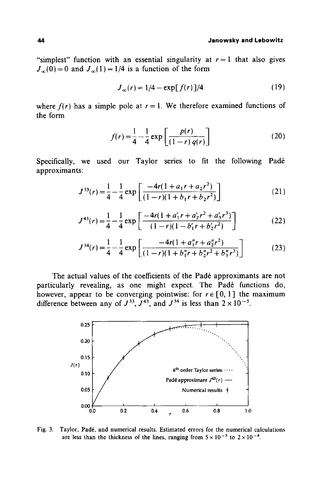"simplest" function with an essential singularity at  $r = 1$  that also gives  $J_{\infty}(0) = 0$  and  $J_{\infty}(1) = 1/4$  is a function of the form

$$
J_{\infty}(r) = 1/4 - \exp[f(r)]/4
$$
 (19)

where  $f(r)$  has a simple pole at  $r = 1$ . We therefore examined functions of the form

$$
f(r) = \frac{1}{4} - \frac{1}{4} \exp\left[\frac{p(r)}{(1-r) q(r)}\right]
$$
 (20)

Specifically, we used our Taylor series to fit the following Padé approximants:

$$
J^{33}(r) = \frac{1}{4} - \frac{1}{4} \exp\left[\frac{-4r(1 + a_1r + a_2r^2)}{(1 - r)(1 + b_1r + b_2r^2)}\right]
$$
 (21)

$$
J^{43}(r) = \frac{1}{4} - \frac{1}{4} \exp\left[\frac{-4r(1+a'_1r+a'_2r^2+a'_3r^3)}{(1-r)(1-b'_1r+b'_2r^2)}\right]
$$
(22)

$$
J^{34}(r) = \frac{1}{4} - \frac{1}{4} \exp\left[\frac{-4r(1 + a_1^{\prime\prime}r + a_2^{\prime\prime}r^2)}{(1 - r)(1 + b_1^{\prime\prime}r + b_2^{\prime\prime}r^2 + b_3^{\prime\prime}r^3)}\right]
$$
(23)

The actual values of the coefficients of the Padé approximants are not particularly revealing, as one might expect. The Padé functions do, however, appear to be converging pointwise: for  $r \in [0, 1]$  the maximum difference between any of  $J^{33}$ ,  $J^{43}$ , and  $J^{34}$  is less than  $2 \times 10^{-5}$ .



Fig. 3. Taylor, Padé, and numerical results. Estimated errors for the numerical calculations are less than the thickness of the lines, ranging from  $5 \times 10^{-5}$  to  $2 \times 10^{-4}$ .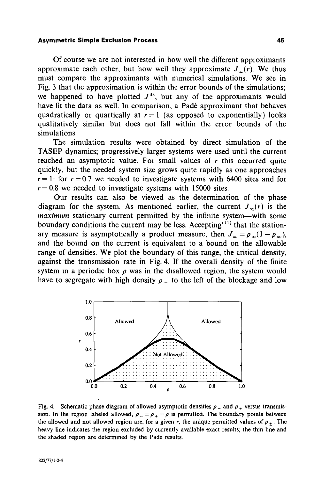Of course we are not interested in how well the different approximants approximate each other, but how well they approximate  $J_{\infty}(r)$ . We thus must compare the approximants with numerical simulations. We see in Fig. 3 that the approximation is within the error bounds of the simulations; we happened to have plotted  $J^{43}$ , but any of the approximants would have fit the data as well. In comparison, a Padé approximant that behaves quadratically or quartically at  $r = 1$  (as opposed to exponentially) looks qualitatively similar but does not fall within the error bounds of the simulations.

The simulation results were obtained by direct simulation of the TASEP dynamics; progressively larger systems were used until the current reached an asymptotic value. For small values of  $r$  this occurred quite quickly, but the needed system size grows quite rapidly as one approaches  $r = 1$ : for  $r = 0.7$  we needed to investigate systems with 6400 sites and for  $r = 0.8$  we needed to investigate systems with 15000 sites.

Our results can also be viewed as the determination of the phase diagram for the system. As mentioned earlier, the current  $J_{\infty}(r)$  is the *maximum* stationary current permitted by the infinite system—with some boundary conditions the current may be less. Accepting<sup> $(11)$ </sup> that the stationary measure is asymptotically a product measure, then  $J_{\infty} = \rho_{\infty}(1-\rho_{\infty}),$ and the bound on the current is equivalent to a bound on the allowable range of densities. We plot the boundary of this range, the critical density, against the transmission rate in Fig. 4. If the overall density of the finite system in a periodic box  $\rho$  was in the disallowed region, the system would have to segregate with high density  $p_{-}$  to the left of the blockage and low



Fig. 4. Schematic phase diagram of allowed asymptotic densities  $p_$  and  $p_+$  versus transmission. In the region labeled allowed,  $\rho = \rho_{\perp} = \rho$  is permitted. The boundary points between the allowed and not allowed region are, for a given r, the unique permitted values of  $p_{+}$ . The heavy line indicates the region excluded by currently available exact results; the thin line and the shaded region are determined by the Padé results.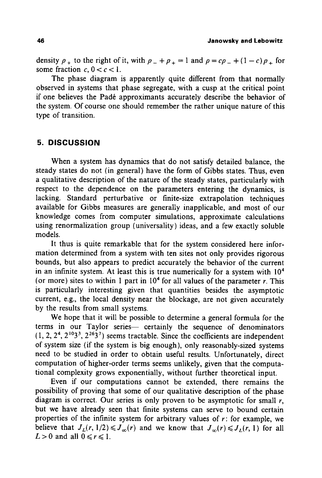density  $\rho_+$  to the right of it, with  $\rho_- + \rho_+ = 1$  and  $\rho = c\rho_- + (1 - c)\rho_+$  for some fraction  $c, 0 < c < 1$ .

The phase diagram is apparently quite different from that normally observed in systems that phase segregate, with a cusp at the critical point if one believes the Pad6 approximants accurately describe the behavior of the system. Of course one should remember the rather unique nature of this type of transition.

## **5. DISCUSSION**

When a system has dynamics that do not satisfy detailed balance, the steady states do not (in general) have the form of Gibbs states. Thus, even a qualitative description of the nature of the steady states, particularly with respect to the dependence on the parameters entering the dynamics, is lacking. Standard perturbative or finite-size extrapolation techniques available for Gibbs measures are generally inapplicable, and most of our knowledge comes from computer simulations, approximate calculations using renormalization group (universality) ideas, and a few exactly soluble models.

It thus is quite remarkable that for the system considered here information determined from a system with ten sites not only provides rigorous bounds, but also appears to predict accurately the behavior of the current in an infinite system. At least this is true numerically for a system with  $10<sup>4</sup>$ (or more) sites to within 1 part in  $10<sup>4</sup>$  for all values of the parameter r. This is particularly interesting given that quantities besides the asymptotic current, e.g., the local density near the blockage, are not given accurately by the results from small systems.

We hope that it will be possible to determine a general formula for the terms in our Taylor series— certainly the sequence of denominators  $(1, 2, 2^4, 2^{10}3^3, 2^{26}3^7)$  seems tractable. Since the coefficients are independent of system size (if the system is big enough), only reasonably-sized systems need to be studied in order to obtain useful results. Unfortunately, direct computation of higher-order terms seems unlikely, given that the computational complexity grows exponentially, without further theoretical input.

Even if our computations cannot be extended, there remains the possibility of proving that some of our qualitative description of the phase diagram is correct. Our series is only proven to be asymptotic for small  $r$ , but we have already seen that finite systems can serve to bound certain properties of the infinite system for arbitrary values of  $r$ : for example, we believe that  $J_L(r, 1/2) \leq J_\infty(r)$  and we know that  $J_\infty(r) \leq J_L(r, 1)$  for all  $L>0$  and all  $0 \le r \le 1$ .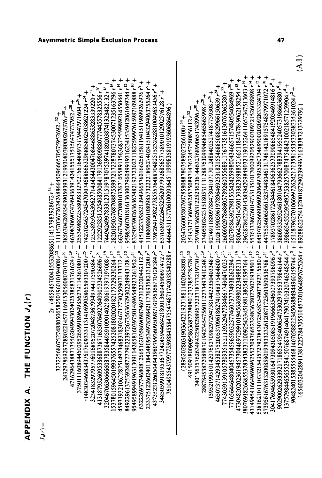|                                                                                                                                                                                                                                                                                                                                                                                                                   | $\bar{\mathbf{z}}$                                                                                                                                                                                                                                                                                                                                                                                                                                                                                                                                                                                                                                                                                                                                                                                                                       |
|-------------------------------------------------------------------------------------------------------------------------------------------------------------------------------------------------------------------------------------------------------------------------------------------------------------------------------------------------------------------------------------------------------------------|------------------------------------------------------------------------------------------------------------------------------------------------------------------------------------------------------------------------------------------------------------------------------------------------------------------------------------------------------------------------------------------------------------------------------------------------------------------------------------------------------------------------------------------------------------------------------------------------------------------------------------------------------------------------------------------------------------------------------------------------------------------------------------------------------------------------------------------|
| $\begin{array}{rl} & 17125860757274880076880510198000800001940008\\ & 1727258607572748800958000198000194008\\ & 1732378692717289021447116915365680801960108\\ & 174332978692717289021447116915365680801900176\,c^2\mu^2+48856442995543953121081$<br>761989096919198284579584755474874142038540288 + 4464411137706100091045119983835819193608648966<br>2r - (46594570041553208865114157983928672 r <sup>34</sup> + | $\begin{array}{l} (289620280319036422192318811402048808~r^3+20347660005807607858088789027265100~r^4\\ (289620280319036422192318811402048888~r^3+151431713069462852689714357295786856112~r^3+\\ 2401567576263484225865862778080171338553857$<br>5739561676313200858019393323261208717256035095367681-+447552460656613237448046131746142189157548579971072<br>3041769465593016473094305085191966635460073937986096 r* + 178937028617243446184563625330908654841920346914816 r<br>+ 308169026293992171865547954006547530297965379846144 r <sup>7</sup> + 3860933295246180104793662788394195524057319866368<br>904824015385554681407638823245660344960159744r <sup>2</sup> + 151187962701066997262421713881553530303835561024r <sup>2</sup> +<br>16560320428911381225784705510457201064897675264r+892886227541220018729996671638387213729792 |

**o Z D u~ "!" d X N ব** 

**Z 0 I** 

 $J_4(r) =$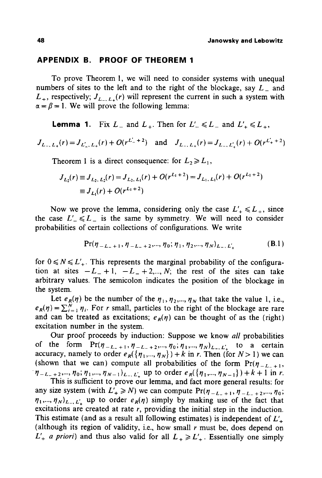### **APPENDIX B. PROOF OF THEOREM 1**

To prove Theorem 1, we will need to consider systems with unequal numbers of sites to the left and to the right of the blockage, say  $L_{-}$  and  $L_{+}$ , respectively;  $J_{L_{-}, L_{+}}(r)$  will represent the current in such a system with  $\alpha = \beta = 1$ . We will prove the following lemma:

**Lemma 1.** Fix  $L_{-}$  and  $L_{+}$ . Then for  $L'_{-} \le L_{-}$  and  $L'_{+} \le L_{+}$ ,

 $J_{L_-,L_+}(r) = J_{L_-,L_+}(r) + O(r^{L_+'+2})$  and  $J_{L_-,L_+}(r) = J_{L_-,L_+}(r) + O(r^{L_+'+2})$ 

Theorem 1 is a direct consequence: for  $L_2 \ge L_1$ ,

$$
J_{L_2}(r) \equiv J_{L_2, L_2}(r) = J_{L_2, L_1}(r) + O(r^{L_1+2}) = J_{L_1, L_1}(r) + O(r^{L_1+2})
$$
  

$$
\equiv J_{L_1}(r) + O(r^{L_1+2})
$$

Now we prove the lemma, considering only the case  $L'_{+} \le L_{+}$ , since the case  $L'_{-} \le L_{-}$  is the same by symmetry. We will need to consider probabilities of certain collections of configurations. We write

$$
\Pr(\eta_{-L_{-}+1}, \eta_{-L_{-}+2}, ..., \eta_0; \eta_1, \eta_2, ..., \eta_N)_{L_{-},L'_{+}} \tag{B.1}
$$

for  $0 \le N \le L'$ . This represents the marginal probability of the configuration at sites  $-L_-+1$ ,  $-L_-+2,...,N$ ; the rest of the sites can take arbitrary values. The semicolon indicates the position of the blockage in the system.

Let  $e_R(\eta)$  be the number of the  $\eta_1, \eta_2, ..., \eta_N$  that take the value 1, i.e.,  $e_R(\eta) = \sum_{i=1}^N \eta_i$ . For r small, particles to the right of the blockage are rare and can be treated as excitations;  $e_R(\eta)$  can be thought of as the (right) excitation number in the system.

Our proof proceeds by induction: Suppose we know *all* probabilities of the form  $Pr(\eta_{-L_{-}+1}, \eta_{-L_{-}+2}, ..., \eta_0; \eta_1, ..., \eta_N)_{L_{-},L'_+}$  to a certain accuracy, namely to order  $e_R({\{\eta_1,\dots,\eta_N\}}) + k$  in r. Then (for  $N > 1$ ) we can (shown that we can) compute all probabilities of the form  $Pr(\eta_{-L,+1},$  $\eta_{-L_{-}+2},...,\eta_0;\eta_1,...,\eta_{N-1})_{L_{-},L'_{+}}$  up to order  $e_R(\{\eta_1,...,\eta_{N-1}\})+k+1$  in r.

This is sufficient to prove our lemma, and fact more general results: for any size system (with  $L'_{+} \ge N$ ) we can compute  $Pr(\eta_{-L_{-}+1}, \eta_{-L_{-}+2}, ..., \eta_{0};$  $(\eta_1,...,\eta_N)_{L_-,L'_-}$  up to order  $e_R(\eta)$  simply by making use of the fact that excitations are created at rate  $r$ , providing the initial step in the induction. This estimate (and as a result all following estimates) is independent of  $L'_{+}$ (although its region of validity, i.e., how small  $r$  must be, does depend on  $L'_{+}$  *a priori*) and thus also valid for all  $L_{+} \ge L'_{+}$ . Essentially one simply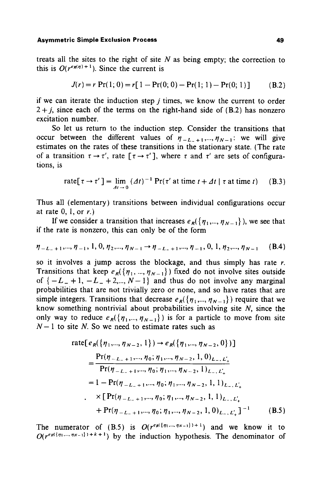treats all the sites to the right of site  $N$  as being empty; the correction to this is  $O(r^{e_R(\eta)+1})$ . Since the current is

$$
J(r) = r \Pr(1; 0) = r[1 - \Pr(0; 0) - \Pr(1; 1) - \Pr(0; 1)] \tag{B.2}
$$

if we can iterate the induction step  $j$  times, we know the current to order  $2 + i$ , since each of the terms on the right-hand side of (B.2) has nonzero excitation number.

So let us return to the induction step. Consider the transitions that occur between the different values of  $\eta_{-L_{-}+1},...,\eta_{N-1}$ : we will give estimates on the rates of these transitions in the stationary state. (The rate of a transition  $\tau \to \tau'$ , rate  $[\tau \to \tau']$ , where  $\tau$  and  $\tau'$  are sets of configurations, is

rate[
$$
\tau \to \tau'
$$
] =  $\lim_{\Delta t \to 0} (\Delta t)^{-1} \Pr(\tau')$  at time  $t + \Delta t | \tau$  at time  $t$ ) (B.3)

Thus all (elementary) transitions between individual configurations occur at rate  $0, 1,$  or  $r$ .)

If we consider a transition that increases  $e_R({\{\eta_1,...,\eta_{N-1}\}})$ , we see that if the rate is nonzero, this can only be of the form

$$
\eta_{-L_{-}+1},...,\eta_{-1}, 1, 0,\eta_2,...,\eta_{N-1} \to \eta_{-L_{-}+1},...,\eta_{-1}, 0, 1,\eta_2,...,\eta_{N-1} \quad (B.4)
$$

so it involves a jump across the blockage, and thus simply has rate  $r$ . Transitions that keep  $e_R({\eta_1, ..., \eta_{N-1}})$  fixed do not involve sites outside of  $\{-L_- + 1, -L_- + 2, ..., N-1\}$  and thus do not involve any marginal probabilities that are not trivially zero or none, and so have rates that are simple integers. Transitions that decrease  $e_R({\eta_1,...,\eta_{N-1}})$  require that we know something nontrivial about probabilities involving site  $N$ , since the only way to reduce  $e_R({n_1,...,n_{N-1}})$  is for a particle to move from site  $N-1$  to site N. So we need to estimate rates such as

rate[
$$
e_R({\eta_1,..., \eta_{N-2}, 1}) \rightarrow e_R({\eta_1,..., \eta_{N-2}, 0})
$$
]  
\n=
$$
\frac{\Pr(\eta_{-L-+1}, ..., \eta_0; \eta_1, ..., \eta_{N-2}, 1, 0)_{L_-, L'_+}}{\Pr(\eta_{-L-+1}, ..., \eta_0; \eta_1, ..., \eta_{N-2}, 1)_{L_-, L'_+}}
$$
\n=
$$
1 - \Pr(\eta_{-L-+1}, ..., \eta_0; \eta_1, ..., \eta_{N-2}, 1, 1)_{L_-, L'_+}
$$
\n
$$
\times [\Pr(\eta_{-L-+1}, ..., \eta_0; \eta_1, ..., \eta_{N-2}, 1, 1)_{L_-, L'_+}]^{-1}
$$
\n+
$$
\Pr(\eta_{-L-+1}, ..., \eta_0; \eta_1, ..., \eta_{N-2}, 1, 0)_{L_-, L'_+}]^{-1}
$$
\n(B.5)

The numerator of (B.5) is  $O(r^{e_R(\{\eta_1,\dots,\eta_{N-1}\})+1})$  and we know it to  $O(r^{e_R(\{\eta_1,\dots,\eta_{N-1}\})+k+1})$  by the induction hypothesis. The denominator of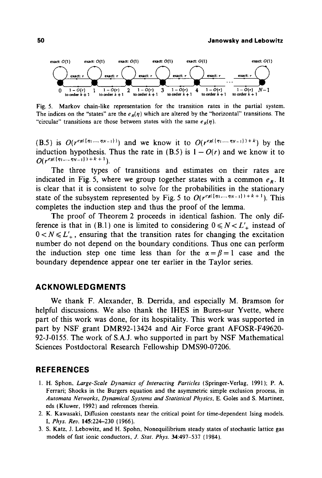

Fig. 5. Markov chain-like representation for the transition rates in the partial system. The indices on the "states" are the  $e_R(\eta)$  which are altered by the "horizontal" transitions. The "circular" transitions are those between states with the same  $e<sub>p</sub>(n)$ .

(B.5) is  $O(r^{e_R(\{\eta_1,\dots,\eta_{N-1}\})})$  and we know it to  $O(r^{e_R(\{\eta_1,\dots,\eta_{N-1}\})+k})$  by the induction hypothesis. Thus the rate in (B.5) is  $1 - O(r)$  and we know it to  $O(r^{e_R(\{\eta_1,\dots,\eta_{N-1}\})+k+1})$ .

The three types of transitions and estimates on their rates are indicated in Fig. 5, where we group together states with a common  $e_R$ . It is clear that it is consistent to solve for the probabilities in the stationary state of the subsystem represented by Fig. 5 to  $O(r^{e_R(\lbrace n_1,\ldots,n_{N-1}\rbrace)+k+1})$ . This completes the induction step and thus the proof of the lemma.

The proof of Theorem 2 proceeds in identical fashion. The only difference is that in (B.1) one is limited to considering  $0 \le N \le L'_{+}$  instead of  $0 < N \le L'$ , ensuring that the transition rates for changing the excitation number do not depend on the boundary conditions. Thus one can perform the induction step one time less than for the  $\alpha = \beta = 1$  case and the boundary dependence appear one ter earlier in the Taylor series.

## **ACKNOWLEDGMENTS**

We thank F. Alexander, B. Derrida, and especially M. Bramson for helpful discussions. We also thank the IHES in Bures-sur Yvette, where part of this work was done, for its hospitality. This work was supported in part by NSF grant DMR92-13424 and Air Force grant AFOSR-F49620- 92-J-0155. The work of S.A.J. who supported in part by NSF Mathematical Sciences Postdoctoral Research Fellowship DMS90-07206.

## **REFERENCES**

- 1. H. Sphon, *Large-Scale Dynamics of Interacting Particles* (Springer-Verlag, 1991); P. A. Ferrari; Shocks in the Burgers equation and the asymmetric simple exclusion process, in *Automata Networks, Dynamical Systems and Statistical Physics,* E. Goles and S. Martinez, eds (Kluwer, 1992) and references therein.
- 2. K. Kawasaki, Diffusion constants near the critical point for time-dependent Ising models. *I, Phys. Rev.* 145:224-230 (1966).
- 3. S. Katz, J. Lebowitz, and H. Spohn, Nonequilibrium steady states of stochastic lattice gas models of fast ionic conductors, *J. Stat. Phys.* 34:497-537 (1984).